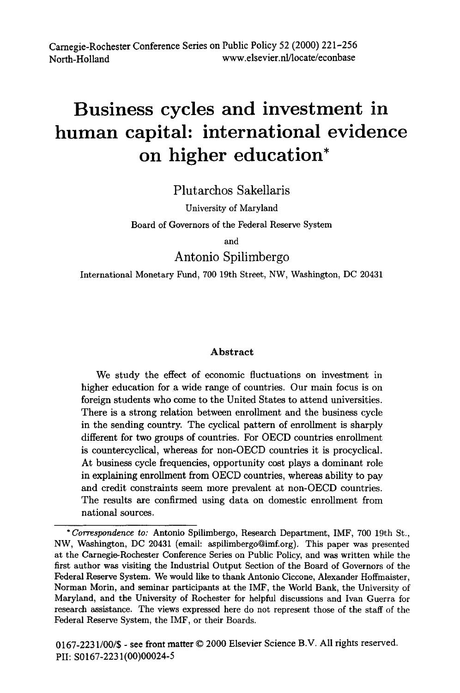## **Business cycles and investment in human capital: international evidence on higher education\***

Plutarchos Sakellaris

University of Maryland

Board of Governors of the Federal Reserve System

and

**Antonio Spilimbergo** 

International Monetary Fund, 700 19th Street, NW, Washington, DC 20431

## **Abstract**

We study the effect of economic fluctuations on investment in higher education for a wide range of countries. Our main focus is on foreign students who come to the United States to attend universities. There is a strong relation between enrollment and the business cycle in the sending country. The cyclical pattern of enrollment is sharply different for two groups of countries. For OECD countries enrollment is countercyclical, whereas for non-OECD countries it is procyclical. At business cycle frequencies, opportunity cost plays a dominant role in explaining enrollment from OECD countries, whereas ability to pay and credit constraints seem more prevalent at non-OECD countries. The results are confirmed using data on domestic enrollment from national sources.

*<sup>\*</sup> Correspondence to:* Antonio Spilimbergo, Research Department, IMF, 700 19th St., NW, Washington, DC 20431 (email: aspilimbergo@imf.org). This paper was presented at the Carnegie-Rochester Conference Series on Public Policy, and was written while the first author was visiting the Industrial Output Section of the Board of Governors of the Federal Reserve System. We would like to thank Antonio Ciccone, Alexander Hoffmaister, Norman Morin, and seminar participants at the IMF, the World Bank, the University of Maryland, and the University of Rochester for helpful discussions and Ivan Guerra for research assistance. The views expressed here do not represent those of the staff of the Federal Reserve System, the IMF, or their Boards.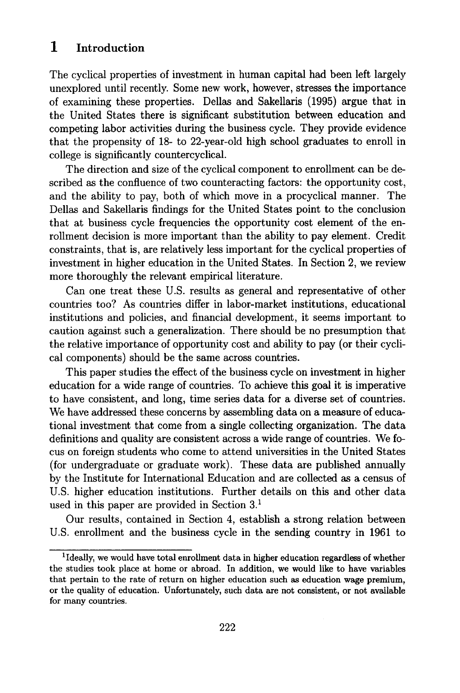## **1 Introduction**

The cyclical properties of investment in human capital had been left largely unexplored until recently. Some new work, however, stresses the importance of examining these properties. Dellas and Sakellaris (1995) argue that in the United States there is significant substitution between education and competing labor activities during the business cycle. They provide evidence that the propensity of 18- to 22-year-old high school graduates to enroll in college is significantly countercyclical.

The direction and size of the cyclical component to enrollment can be described as the confluence of two counteracting factors: the opportunity cost, and the ability to pay, both of which move in a procyclical manner. The Dellas and Sakellaris findings for the United States point to the conclusion that at business cycle frequencies the opportunity cost element of the enrollment decision is more important than the ability to pay element. Credit constraints, that is, are relatively less important for the cyclical properties of investment in higher education in the United States. In Section 2, we review more thoroughly the relevant empirical literature.

Can one treat these U.S. results as general and representative of other countries too? As countries differ in labor-market institutions, educational institutions and policies, and financial development, it seems important to caution against such a generalization. There should be no presumption that the relative importance of opportunity cost and ability to pay (or their cyclical components) should be the same across countries.

This paper studies the effect of the business cycle on investment in higher education for a wide range of countries. To achieve this goal it is imperative to have consistent, and long, time series data for a diverse set of countries. We have addressed these concerns by assembling data on a measure of educational investment that come from a single collecting organization. The data definitions and quality are consistent across a wide range of countries. We focus on foreign students who come to attend universities in the United States (for undergraduate or graduate work). These data are published annually by the Institute for International Education and are collected as a census of U.S. higher education institutions. Further details on this and other data used in this paper are provided in Section 3.1

Our results, contained in Section 4, establish a strong relation between U.S. enrollment and the business cycle in the sending country in 1961 to

<sup>&</sup>lt;sup>1</sup>Ideally, we would have total enrollment data in higher education regardless of whether the studies took place at home or abroad. In addition, we would like to have variables that pertain to the rate of return on higher education such as education wage premium, or the quality of education. Unfortunately, such data are **not consistent, or not** available for many countries.